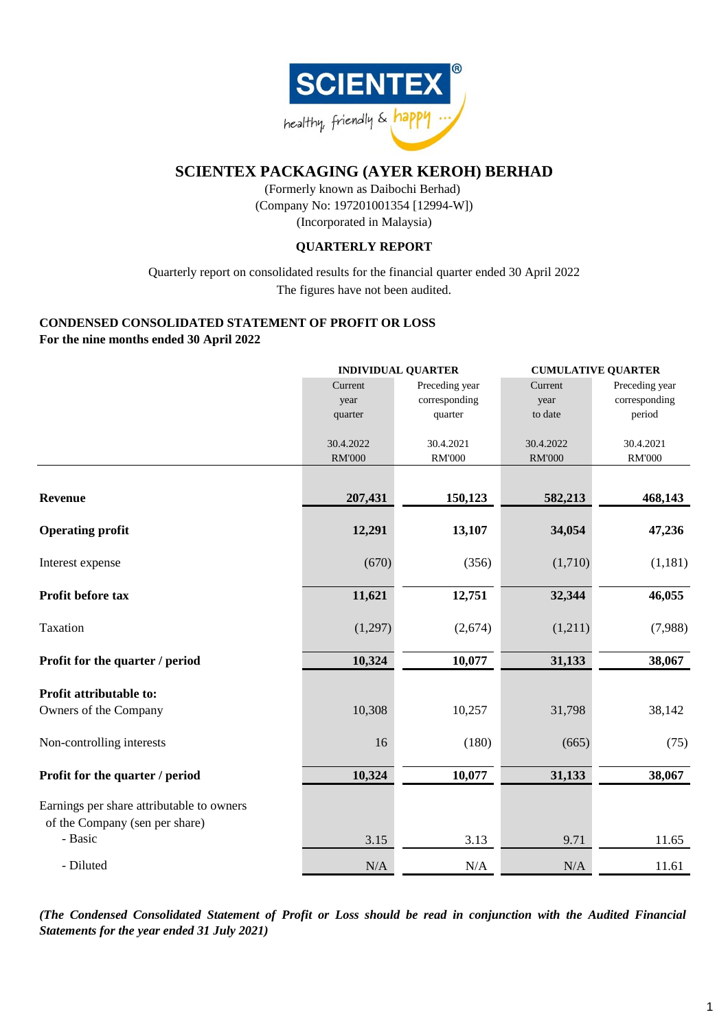

(Company No: 197201001354 [12994-W]) (Incorporated in Malaysia) (Formerly known as Daibochi Berhad)

# **QUARTERLY REPORT**

Quarterly report on consolidated results for the financial quarter ended 30 April 2022 The figures have not been audited.

# **CONDENSED CONSOLIDATED STATEMENT OF PROFIT OR LOSS For the nine months ended 30 April 2022**

|                                           |               | <b>INDIVIDUAL QUARTER</b><br><b>CUMULATIVE QUARTER</b> |               |                |  |
|-------------------------------------------|---------------|--------------------------------------------------------|---------------|----------------|--|
|                                           | Current       | Preceding year                                         | Current       | Preceding year |  |
|                                           | year          | corresponding                                          | year          | corresponding  |  |
|                                           | quarter       | quarter                                                | to date       | period         |  |
|                                           | 30.4.2022     | 30.4.2021                                              | 30.4.2022     | 30.4.2021      |  |
|                                           | <b>RM'000</b> | <b>RM'000</b>                                          | <b>RM'000</b> | <b>RM'000</b>  |  |
|                                           |               |                                                        |               |                |  |
| <b>Revenue</b>                            | 207,431       | 150,123                                                | 582,213       | 468,143        |  |
| <b>Operating profit</b>                   | 12,291        | 13,107                                                 | 34,054        | 47,236         |  |
| Interest expense                          | (670)         | (356)                                                  | (1,710)       | (1,181)        |  |
| Profit before tax                         | 11,621        | 12,751                                                 | 32,344        | 46,055         |  |
| Taxation                                  | (1,297)       | (2,674)                                                | (1,211)       | (7,988)        |  |
| Profit for the quarter / period           | 10,324        | 10,077                                                 | 31,133        | 38,067         |  |
| Profit attributable to:                   |               |                                                        |               |                |  |
| Owners of the Company                     | 10,308        | 10,257                                                 | 31,798        | 38,142         |  |
| Non-controlling interests                 | 16            | (180)                                                  | (665)         | (75)           |  |
| Profit for the quarter / period           | 10,324        | 10,077                                                 | 31,133        | 38,067         |  |
| Earnings per share attributable to owners |               |                                                        |               |                |  |
| of the Company (sen per share)<br>- Basic | 3.15          | 3.13                                                   | 9.71          | 11.65          |  |
| - Diluted                                 | N/A           | N/A                                                    | N/A           | 11.61          |  |

*(The Condensed Consolidated Statement of Profit or Loss should be read in conjunction with the Audited Financial Statements for the year ended 31 July 2021)*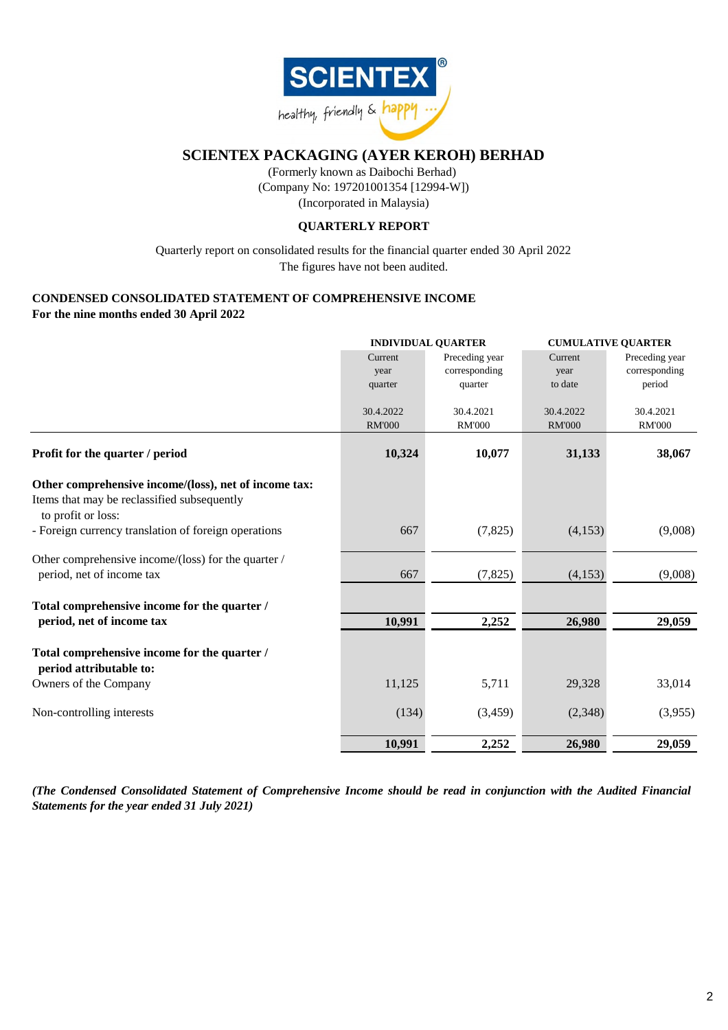

(Company No: 197201001354 [12994-W]) (Incorporated in Malaysia) (Formerly known as Daibochi Berhad)

# **QUARTERLY REPORT**

The figures have not been audited. Quarterly report on consolidated results for the financial quarter ended 30 April 2022

# **CONDENSED CONSOLIDATED STATEMENT OF COMPREHENSIVE INCOME**

**For the nine months ended 30 April 2022**

|                                                                         | <b>INDIVIDUAL QUARTER</b> |                |               | <b>CUMULATIVE QUARTER</b> |  |  |
|-------------------------------------------------------------------------|---------------------------|----------------|---------------|---------------------------|--|--|
|                                                                         | Current                   | Preceding year | Current       | Preceding year            |  |  |
|                                                                         | year                      | corresponding  | year          | corresponding             |  |  |
|                                                                         | quarter                   | quarter        | to date       | period                    |  |  |
|                                                                         |                           |                |               |                           |  |  |
|                                                                         | 30.4.2022                 | 30.4.2021      | 30.4.2022     | 30.4.2021                 |  |  |
|                                                                         | <b>RM'000</b>             | <b>RM'000</b>  | <b>RM'000</b> | <b>RM'000</b>             |  |  |
| Profit for the quarter / period                                         | 10,324                    | 10,077         | 31,133        | 38,067                    |  |  |
| Other comprehensive income/(loss), net of income tax:                   |                           |                |               |                           |  |  |
| Items that may be reclassified subsequently<br>to profit or loss:       |                           |                |               |                           |  |  |
| - Foreign currency translation of foreign operations                    | 667                       | (7,825)        | (4,153)       | (9,008)                   |  |  |
| Other comprehensive income/(loss) for the quarter /                     |                           |                |               |                           |  |  |
| period, net of income tax                                               | 667                       | (7, 825)       | (4,153)       | (9,008)                   |  |  |
| Total comprehensive income for the quarter /                            |                           |                |               |                           |  |  |
| period, net of income tax                                               | 10,991                    | 2,252          | 26,980        | 29,059                    |  |  |
| Total comprehensive income for the quarter /<br>period attributable to: |                           |                |               |                           |  |  |
| Owners of the Company                                                   | 11,125                    | 5,711          | 29,328        | 33,014                    |  |  |
| Non-controlling interests                                               | (134)                     | (3,459)        | (2,348)       | (3,955)                   |  |  |
|                                                                         | 10,991                    | 2,252          | 26,980        | 29,059                    |  |  |

*(The Condensed Consolidated Statement of Comprehensive Income should be read in conjunction with the Audited Financial Statements for the year ended 31 July 2021)*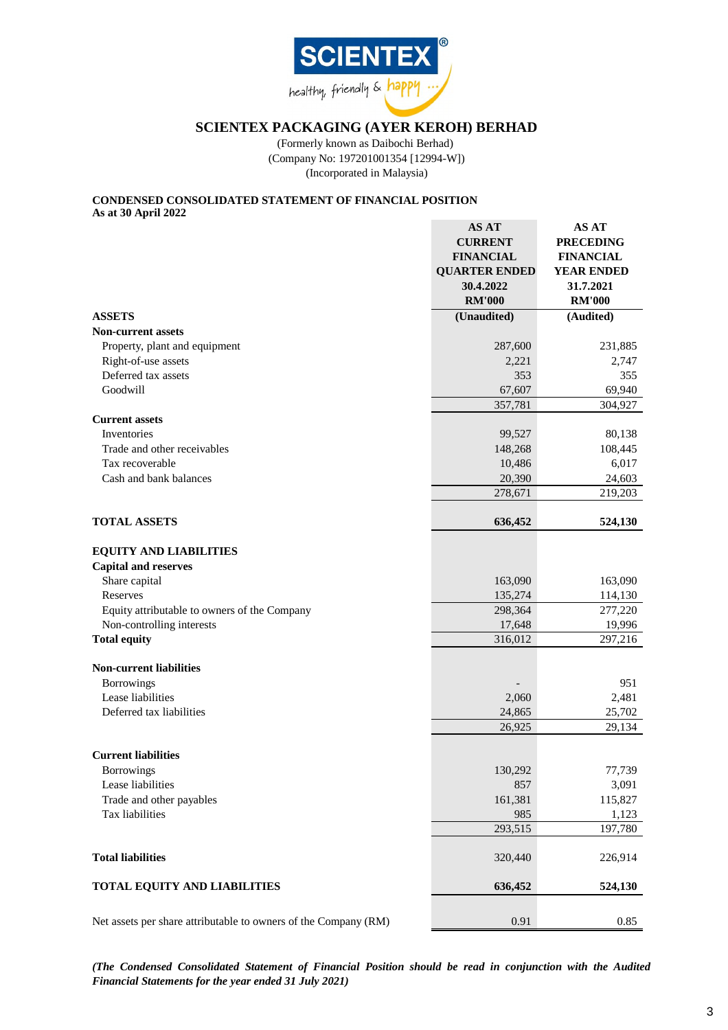

(Company No: 197201001354 [12994-W]) (Incorporated in Malaysia) (Formerly known as Daibochi Berhad)

## **CONDENSED CONSOLIDATED STATEMENT OF FINANCIAL POSITION As at 30 April 2022**

|                                                                 | AS AT<br><b>CURRENT</b><br><b>FINANCIAL</b><br><b>QUARTER ENDED</b><br>30.4.2022<br><b>RM'000</b> | AS AT<br><b>PRECEDING</b><br><b>FINANCIAL</b><br><b>YEAR ENDED</b><br>31.7.2021<br><b>RM'000</b> |
|-----------------------------------------------------------------|---------------------------------------------------------------------------------------------------|--------------------------------------------------------------------------------------------------|
| <b>ASSETS</b>                                                   | (Unaudited)                                                                                       | (Audited)                                                                                        |
| <b>Non-current assets</b>                                       |                                                                                                   |                                                                                                  |
| Property, plant and equipment                                   | 287,600                                                                                           | 231,885                                                                                          |
| Right-of-use assets                                             | 2,221                                                                                             | 2,747                                                                                            |
| Deferred tax assets                                             | 353                                                                                               | 355                                                                                              |
| Goodwill                                                        | 67,607                                                                                            | 69,940                                                                                           |
|                                                                 | 357,781                                                                                           | 304,927                                                                                          |
| <b>Current assets</b>                                           |                                                                                                   |                                                                                                  |
| Inventories                                                     | 99,527                                                                                            | 80,138                                                                                           |
| Trade and other receivables                                     | 148,268                                                                                           | 108,445                                                                                          |
| Tax recoverable                                                 | 10,486                                                                                            | 6,017                                                                                            |
| Cash and bank balances                                          | 20,390                                                                                            | 24,603                                                                                           |
|                                                                 | 278,671                                                                                           | 219,203                                                                                          |
|                                                                 |                                                                                                   |                                                                                                  |
| <b>TOTAL ASSETS</b>                                             | 636,452                                                                                           | 524,130                                                                                          |
| <b>EQUITY AND LIABILITIES</b><br><b>Capital and reserves</b>    |                                                                                                   |                                                                                                  |
| Share capital                                                   | 163,090                                                                                           | 163,090                                                                                          |
| Reserves                                                        | 135,274                                                                                           | 114,130                                                                                          |
| Equity attributable to owners of the Company                    | 298,364                                                                                           | 277,220                                                                                          |
| Non-controlling interests                                       | 17,648                                                                                            | 19,996                                                                                           |
| <b>Total equity</b>                                             | 316,012                                                                                           | 297,216                                                                                          |
| <b>Non-current liabilities</b>                                  |                                                                                                   |                                                                                                  |
| <b>Borrowings</b>                                               |                                                                                                   | 951                                                                                              |
| Lease liabilities                                               | 2,060                                                                                             | 2,481                                                                                            |
| Deferred tax liabilities                                        | 24,865                                                                                            | 25,702                                                                                           |
|                                                                 | 26,925                                                                                            | 29,134                                                                                           |
| <b>Current liabilities</b>                                      |                                                                                                   |                                                                                                  |
|                                                                 | 130,292                                                                                           | 77,739                                                                                           |
| <b>Borrowings</b><br>Lease liabilities                          |                                                                                                   |                                                                                                  |
| Trade and other payables                                        | 857<br>161,381                                                                                    | 3,091<br>115,827                                                                                 |
| Tax liabilities                                                 | 985                                                                                               |                                                                                                  |
|                                                                 | 293,515                                                                                           | 1,123<br>197,780                                                                                 |
|                                                                 |                                                                                                   |                                                                                                  |
| <b>Total liabilities</b>                                        | 320,440                                                                                           | 226,914                                                                                          |
| <b>TOTAL EQUITY AND LIABILITIES</b>                             | 636,452                                                                                           | 524,130                                                                                          |
| Net assets per share attributable to owners of the Company (RM) | 0.91                                                                                              | 0.85                                                                                             |

*(The Condensed Consolidated Statement of Financial Position should be read in conjunction with the Audited Financial Statements for the year ended 31 July 2021)*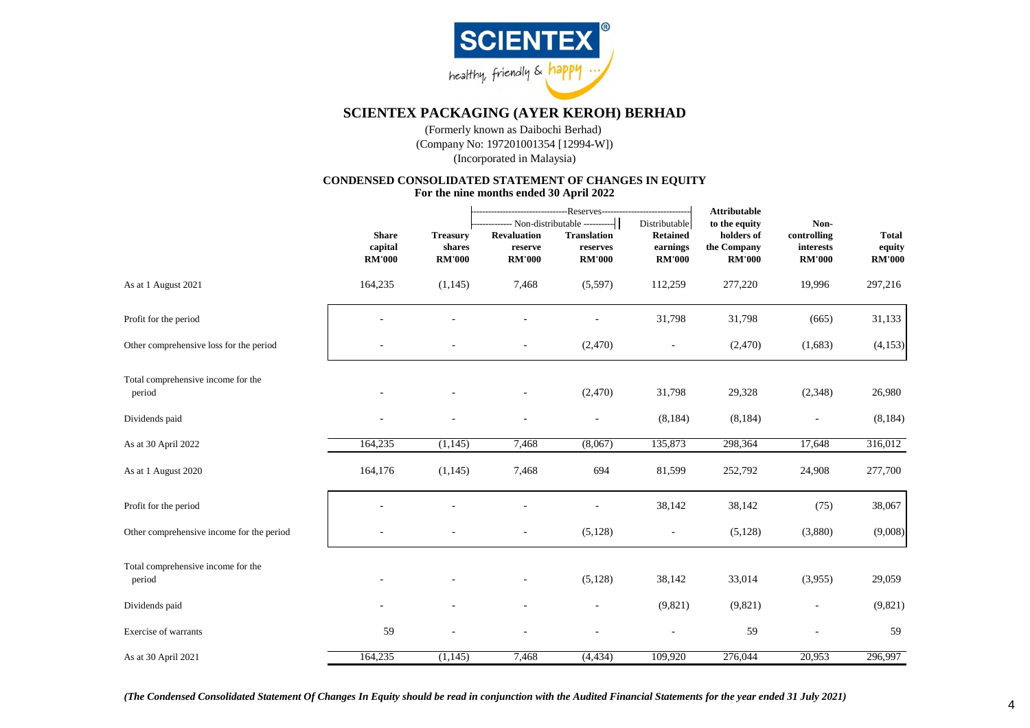

(Company No: 197201001354 [12994-W]) (Incorporated in Malaysia) (Formerly known as Daibochi Berhad)

# **CONDENSED CONSOLIDATED STATEMENT OF CHANGES IN EQUITY**

**For the nine months ended 30 April 2022**

 $\sim$ 

|                                              |                                          |                                            |                                                | --Reserves-----------------------------<br>-- Non-distributable ----------- | Distributable                                | <b>Attributable</b><br>to the equity       | Non-                                      |                                         |
|----------------------------------------------|------------------------------------------|--------------------------------------------|------------------------------------------------|-----------------------------------------------------------------------------|----------------------------------------------|--------------------------------------------|-------------------------------------------|-----------------------------------------|
|                                              | <b>Share</b><br>capital<br><b>RM'000</b> | <b>Treasury</b><br>shares<br><b>RM'000</b> | <b>Revaluation</b><br>reserve<br><b>RM'000</b> | <b>Translation</b><br>reserves<br><b>RM'000</b>                             | <b>Retained</b><br>earnings<br><b>RM'000</b> | holders of<br>the Company<br><b>RM'000</b> | controlling<br>interests<br><b>RM'000</b> | <b>Total</b><br>equity<br><b>RM'000</b> |
| As at 1 August 2021                          | 164,235                                  | (1, 145)                                   | 7,468                                          | (5,597)                                                                     | 112,259                                      | 277,220                                    | 19,996                                    | 297,216                                 |
| Profit for the period                        |                                          |                                            |                                                |                                                                             | 31,798                                       | 31,798                                     | (665)                                     | 31,133                                  |
| Other comprehensive loss for the period      |                                          |                                            | $\blacksquare$                                 | (2,470)                                                                     | $\overline{\phantom{a}}$                     | (2,470)                                    | (1,683)                                   | (4, 153)                                |
| Total comprehensive income for the<br>period |                                          |                                            |                                                | (2,470)                                                                     | 31,798                                       | 29,328                                     | (2,348)                                   | 26,980                                  |
| Dividends paid                               | $\sim$                                   |                                            | $\overline{\phantom{a}}$                       |                                                                             | (8, 184)                                     | (8, 184)                                   |                                           | (8, 184)                                |
| As at 30 April 2022                          | 164,235                                  | (1, 145)                                   | 7,468                                          | (8,067)                                                                     | 135,873                                      | 298,364                                    | 17,648                                    | 316,012                                 |
| As at 1 August 2020                          | 164,176                                  | (1,145)                                    | 7,468                                          | 694                                                                         | 81,599                                       | 252,792                                    | 24,908                                    | 277,700                                 |
| Profit for the period                        |                                          |                                            |                                                |                                                                             | 38,142                                       | 38,142                                     | (75)                                      | 38,067                                  |
| Other comprehensive income for the period    |                                          |                                            |                                                | (5, 128)                                                                    |                                              | (5, 128)                                   | (3,880)                                   | (9,008)                                 |
| Total comprehensive income for the<br>period |                                          |                                            |                                                | (5,128)                                                                     | 38,142                                       | 33,014                                     | (3,955)                                   | 29,059                                  |
| Dividends paid                               |                                          |                                            |                                                |                                                                             | (9,821)                                      | (9,821)                                    |                                           | (9,821)                                 |
| Exercise of warrants                         | 59                                       |                                            |                                                |                                                                             |                                              | 59                                         |                                           | 59                                      |
| As at 30 April 2021                          | 164,235                                  | (1, 145)                                   | 7,468                                          | (4, 434)                                                                    | 109,920                                      | 276,044                                    | 20,953                                    | 296,997                                 |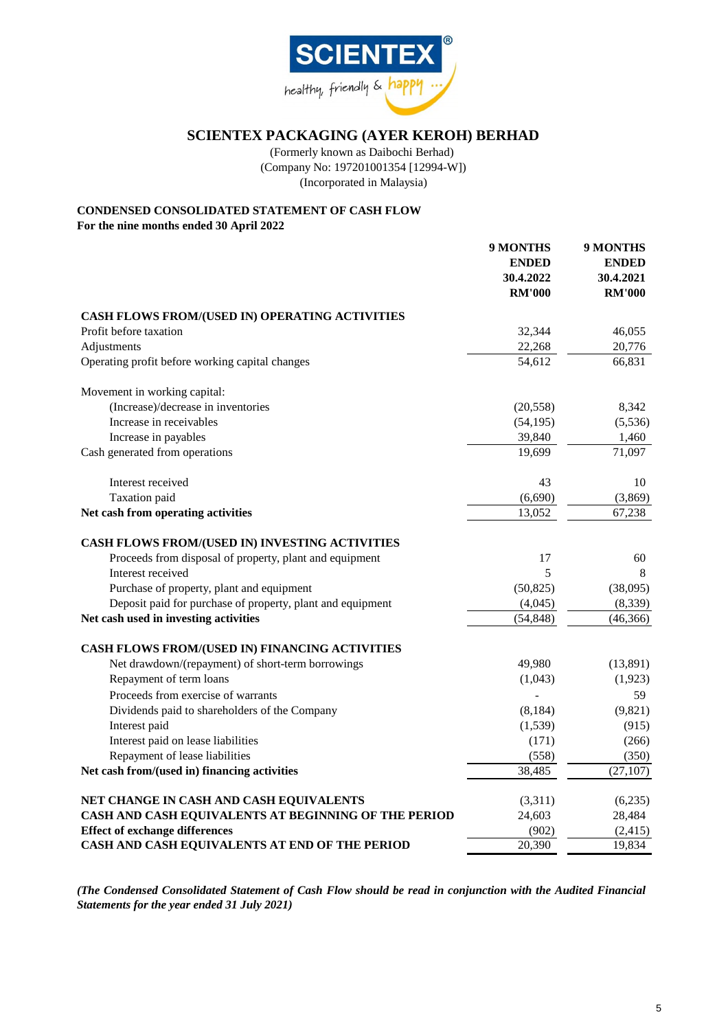

(Company No: 197201001354 [12994-W]) (Incorporated in Malaysia) (Formerly known as Daibochi Berhad)

# **CONDENSED CONSOLIDATED STATEMENT OF CASH FLOW**

**For the nine months ended 30 April 2022**

|                                                            | 9 MONTHS<br><b>ENDED</b><br>30.4.2022<br><b>RM'000</b> | 9 MONTHS<br><b>ENDED</b><br>30.4.2021<br><b>RM'000</b> |
|------------------------------------------------------------|--------------------------------------------------------|--------------------------------------------------------|
| CASH FLOWS FROM/(USED IN) OPERATING ACTIVITIES             |                                                        |                                                        |
| Profit before taxation                                     | 32,344                                                 | 46,055                                                 |
| Adjustments                                                | 22,268                                                 | 20,776                                                 |
| Operating profit before working capital changes            | 54,612                                                 | 66,831                                                 |
| Movement in working capital:                               |                                                        |                                                        |
| (Increase)/decrease in inventories                         | (20, 558)                                              | 8,342                                                  |
| Increase in receivables                                    | (54, 195)                                              | (5,536)                                                |
| Increase in payables                                       | 39,840                                                 | 1,460                                                  |
| Cash generated from operations                             | 19,699                                                 | 71,097                                                 |
| Interest received                                          | 43                                                     | 10                                                     |
| Taxation paid                                              | (6,690)                                                | (3,869)                                                |
| Net cash from operating activities                         | 13,052                                                 | 67,238                                                 |
| CASH FLOWS FROM/(USED IN) INVESTING ACTIVITIES             |                                                        |                                                        |
| Proceeds from disposal of property, plant and equipment    | 17                                                     | 60                                                     |
| Interest received                                          | 5                                                      | 8                                                      |
| Purchase of property, plant and equipment                  | (50, 825)                                              | (38,095)                                               |
| Deposit paid for purchase of property, plant and equipment | (4,045)                                                | (8, 339)                                               |
| Net cash used in investing activities                      | (54, 848)                                              | (46, 366)                                              |
| CASH FLOWS FROM/(USED IN) FINANCING ACTIVITIES             |                                                        |                                                        |
| Net drawdown/(repayment) of short-term borrowings          | 49,980                                                 | (13,891)                                               |
| Repayment of term loans                                    | (1,043)                                                | (1,923)                                                |
| Proceeds from exercise of warrants                         |                                                        | 59                                                     |
| Dividends paid to shareholders of the Company              | (8, 184)                                               | (9,821)                                                |
| Interest paid                                              | (1,539)                                                | (915)                                                  |
| Interest paid on lease liabilities                         | (171)                                                  | (266)                                                  |
| Repayment of lease liabilities                             | (558)                                                  | (350)                                                  |
| Net cash from/(used in) financing activities               | 38,485                                                 | (27, 107)                                              |
| NET CHANGE IN CASH AND CASH EQUIVALENTS                    | (3,311)                                                | (6,235)                                                |
| CASH AND CASH EQUIVALENTS AT BEGINNING OF THE PERIOD       | 24,603                                                 | 28,484                                                 |
| <b>Effect of exchange differences</b>                      | (902)                                                  | (2, 415)                                               |
| CASH AND CASH EQUIVALENTS AT END OF THE PERIOD             | 20,390                                                 | 19,834                                                 |

*(The Condensed Consolidated Statement of Cash Flow should be read in conjunction with the Audited Financial Statements for the year ended 31 July 2021)*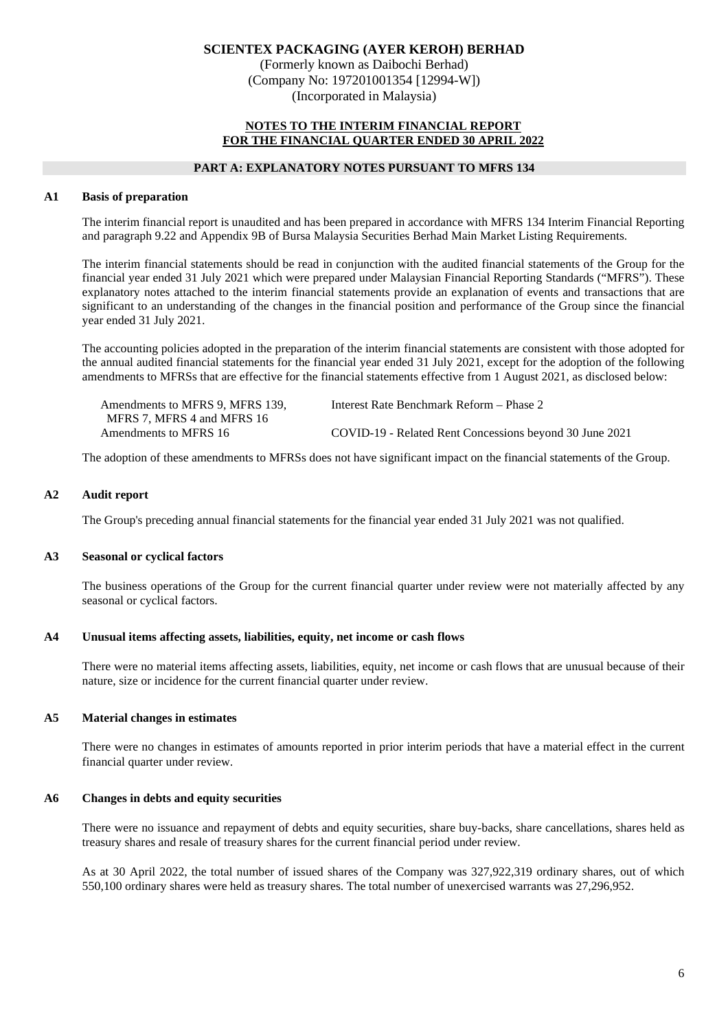(Formerly known as Daibochi Berhad) (Company No: 197201001354 [12994-W]) (Incorporated in Malaysia)

## **NOTES TO THE INTERIM FINANCIAL REPORT FOR THE FINANCIAL QUARTER ENDED 30 APRIL 2022**

## **PART A: EXPLANATORY NOTES PURSUANT TO MFRS 134**

## **A1 Basis of preparation**

The interim financial report is unaudited and has been prepared in accordance with MFRS 134 Interim Financial Reporting and paragraph 9.22 and Appendix 9B of Bursa Malaysia Securities Berhad Main Market Listing Requirements.

The interim financial statements should be read in conjunction with the audited financial statements of the Group for the financial year ended 31 July 2021 which were prepared under Malaysian Financial Reporting Standards ("MFRS"). These explanatory notes attached to the interim financial statements provide an explanation of events and transactions that are significant to an understanding of the changes in the financial position and performance of the Group since the financial year ended 31 July 2021.

The accounting policies adopted in the preparation of the interim financial statements are consistent with those adopted for the annual audited financial statements for the financial year ended 31 July 2021, except for the adoption of the following amendments to MFRSs that are effective for the financial statements effective from 1 August 2021, as disclosed below:

| Amendments to MFRS 9. MFRS 139. | Interest Rate Benchmark Reform – Phase 2                |
|---------------------------------|---------------------------------------------------------|
| MFRS 7. MFRS 4 and MFRS 16      |                                                         |
| Amendments to MFRS 16           | COVID-19 - Related Rent Concessions beyond 30 June 2021 |

The adoption of these amendments to MFRSs does not have significant impact on the financial statements of the Group.

#### **A2 Audit report**

The Group's preceding annual financial statements for the financial year ended 31 July 2021 was not qualified.

#### **A3 Seasonal or cyclical factors**

The business operations of the Group for the current financial quarter under review were not materially affected by any seasonal or cyclical factors.

#### **A4 Unusual items affecting assets, liabilities, equity, net income or cash flows**

There were no material items affecting assets, liabilities, equity, net income or cash flows that are unusual because of their nature, size or incidence for the current financial quarter under review.

#### **A5 Material changes in estimates**

There were no changes in estimates of amounts reported in prior interim periods that have a material effect in the current financial quarter under review.

#### **A6 Changes in debts and equity securities**

There were no issuance and repayment of debts and equity securities, share buy-backs, share cancellations, shares held as treasury shares and resale of treasury shares for the current financial period under review.

As at 30 April 2022, the total number of issued shares of the Company was 327,922,319 ordinary shares, out of which 550,100 ordinary shares were held as treasury shares. The total number of unexercised warrants was 27,296,952.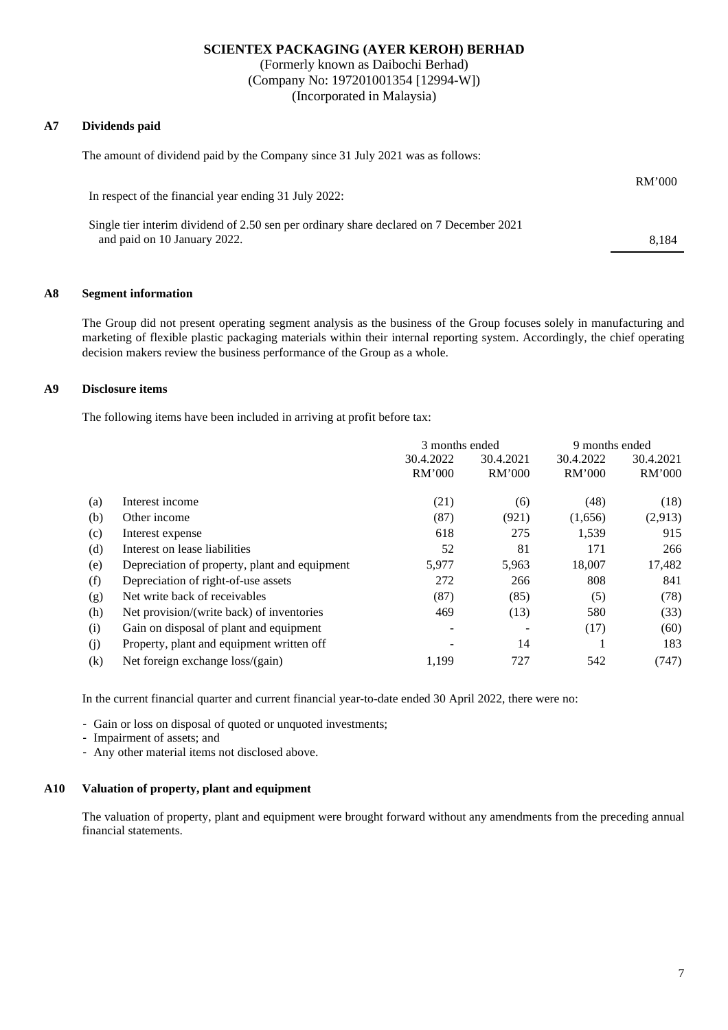(Formerly known as Daibochi Berhad) (Company No: 197201001354 [12994-W]) (Incorporated in Malaysia)

## **A7 Dividends paid**

The amount of dividend paid by the Company since 31 July 2021 was as follows:

| In respect of the financial year ending 31 July 2022:                                                                   | RM'000 |
|-------------------------------------------------------------------------------------------------------------------------|--------|
| Single tier interim dividend of 2.50 sen per ordinary share declared on 7 December 2021<br>and paid on 10 January 2022. | 8.184  |

## **A8 Segment information**

The Group did not present operating segment analysis as the business of the Group focuses solely in manufacturing and marketing of flexible plastic packaging materials within their internal reporting system. Accordingly, the chief operating decision makers review the business performance of the Group as a whole.

## **A9 Disclosure items**

The following items have been included in arriving at profit before tax:

|     |                                               | 3 months ended |           | 9 months ended |           |
|-----|-----------------------------------------------|----------------|-----------|----------------|-----------|
|     |                                               | 30.4.2022      | 30.4.2021 | 30.4.2022      | 30.4.2021 |
|     |                                               | RM'000         | RM'000    | RM'000         | RM'000    |
| (a) | Interest income                               | (21)           | (6)       | (48)           | (18)      |
| (b) | Other income                                  | (87)           | (921)     | (1,656)        | (2,913)   |
| (c) | Interest expense                              | 618            | 275       | 1,539          | 915       |
| (d) | Interest on lease liabilities                 | 52             | 81        | 171            | 266       |
| (e) | Depreciation of property, plant and equipment | 5,977          | 5,963     | 18,007         | 17,482    |
| (f) | Depreciation of right-of-use assets           | 272            | 266       | 808            | 841       |
| (g) | Net write back of receivables                 | (87)           | (85)      | (5)            | (78)      |
| (h) | Net provision/(write back) of inventories     | 469            | (13)      | 580            | (33)      |
| (i) | Gain on disposal of plant and equipment       |                |           | (17)           | (60)      |
| (i) | Property, plant and equipment written off     |                | 14        |                | 183       |
| (k) | Net foreign exchange loss/(gain)              | 1.199          | 727       | 542            | (747)     |

In the current financial quarter and current financial year-to-date ended 30 April 2022, there were no:

- Gain or loss on disposal of quoted or unquoted investments;

- Impairment of assets; and
- Any other material items not disclosed above.

## **A10 Valuation of property, plant and equipment**

The valuation of property, plant and equipment were brought forward without any amendments from the preceding annual financial statements.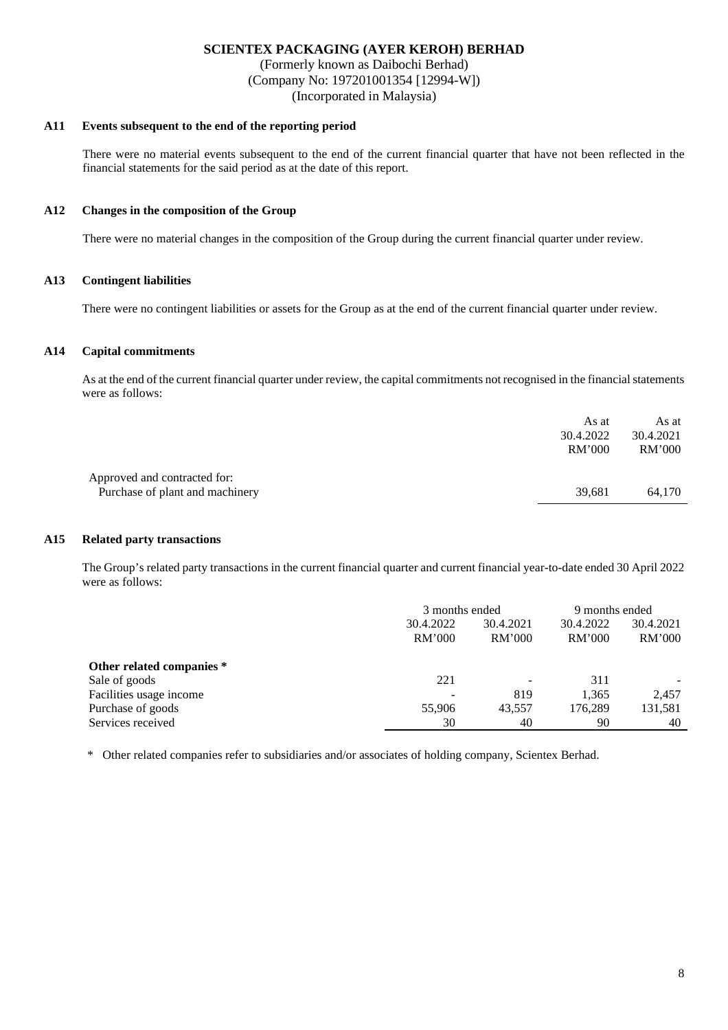(Formerly known as Daibochi Berhad) (Company No: 197201001354 [12994-W]) (Incorporated in Malaysia)

# **A11 Events subsequent to the end of the reporting period**

There were no material events subsequent to the end of the current financial quarter that have not been reflected in the financial statements for the said period as at the date of this report.

## **A12 Changes in the composition of the Group**

There were no material changes in the composition of the Group during the current financial quarter under review.

## **A13 Contingent liabilities**

There were no contingent liabilities or assets for the Group as at the end of the current financial quarter under review.

## **A14 Capital commitments**

As at the end of the current financial quarter under review, the capital commitments not recognised in the financial statements were as follows:

|                                                                 | As at<br>30.4.2022<br>RM'000 | As at<br>30.4.2021<br>RM'000 |
|-----------------------------------------------------------------|------------------------------|------------------------------|
| Approved and contracted for:<br>Purchase of plant and machinery | 39.681                       | 64.170                       |

#### **A15 Related party transactions**

The Group's related party transactions in the current financial quarter and current financial year-to-date ended 30 April 2022 were as follows:

|                           | 3 months ended         |                          | 9 months ended |           |
|---------------------------|------------------------|--------------------------|----------------|-----------|
|                           | 30.4.2022<br>30.4.2021 |                          | 30.4.2022      | 30.4.2021 |
|                           | RM'000                 | <b>RM'000</b>            | RM'000         | RM'000    |
| Other related companies * |                        |                          |                |           |
| Sale of goods             | 221                    | $\overline{\phantom{a}}$ | 311            |           |
| Facilities usage income   |                        | 819                      | 1,365          | 2.457     |
| Purchase of goods         | 55,906                 | 43.557                   | 176.289        | 131,581   |
| Services received         | 30                     | 40                       | 90             | 40        |

\* Other related companies refer to subsidiaries and/or associates of holding company, Scientex Berhad.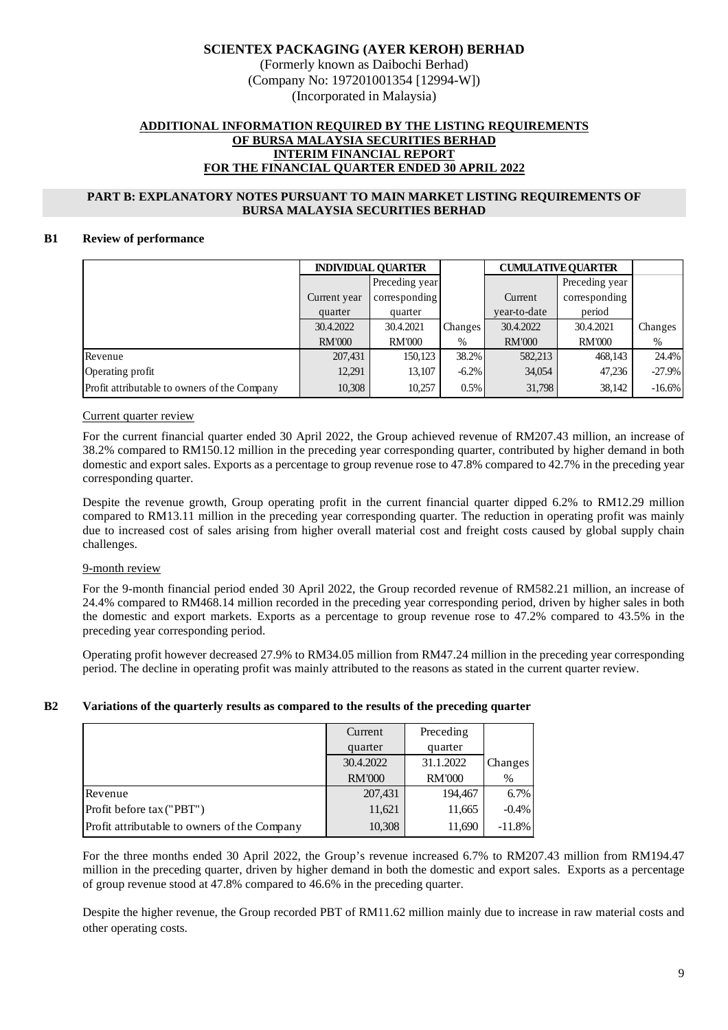(Formerly known as Daibochi Berhad) (Company No: 197201001354 [12994-W]) (Incorporated in Malaysia)

## **ADDITIONAL INFORMATION REQUIRED BY THE LISTING REQUIREMENTS OF BURSA MALAYSIA SECURITIES BERHAD INTERIM FINANCIAL REPORT FOR THE FINANCIAL QUARTER ENDED 30 APRIL 2022**

## **PART B: EXPLANATORY NOTES PURSUANT TO MAIN MARKET LISTING REQUIREMENTS OF BURSA MALAYSIA SECURITIES BERHAD**

## **B1 Review of performance**

|                                              | <b>INDIVIDUAL QUARTER</b> |                |           | <b>CUMULATIVE OUARTER</b> |                |          |
|----------------------------------------------|---------------------------|----------------|-----------|---------------------------|----------------|----------|
|                                              |                           | Preceding year |           |                           | Preceding year |          |
|                                              | Current year              | corresponding  |           | Current                   | corresponding  |          |
|                                              | quarter                   | quarter        |           | vear-to-date              | period         |          |
|                                              | 30.4.2022                 | 30.4.2021      | Changes I | 30.4.2022                 | 30.4.2021      | Changes  |
|                                              | <b>RM'000</b>             | <b>RM'000</b>  | $\%$      | <b>RM'000</b>             | <b>RM'000</b>  | $\%$     |
| Revenue                                      | 207,431                   | 150,123        | 38.2%     | 582,213                   | 468,143        | 24.4%    |
| Operating profit                             | 12,291                    | 13,107         | $-6.2\%$  | 34,054                    | 47,236         | $-27.9%$ |
| Profit attributable to owners of the Company | 10,308                    | 10,257         | 0.5%      | 31,798                    | 38,142         | $-16.6%$ |

## Current quarter review

For the current financial quarter ended 30 April 2022, the Group achieved revenue of RM207.43 million, an increase of 38.2% compared to RM150.12 million in the preceding year corresponding quarter, contributed by higher demand in both domestic and export sales. Exports as a percentage to group revenue rose to 47.8% compared to 42.7% in the preceding year corresponding quarter.

Despite the revenue growth, Group operating profit in the current financial quarter dipped 6.2% to RM12.29 million compared to RM13.11 million in the preceding year corresponding quarter. The reduction in operating profit was mainly due to increased cost of sales arising from higher overall material cost and freight costs caused by global supply chain challenges.

## 9-month review

For the 9-month financial period ended 30 April 2022, the Group recorded revenue of RM582.21 million, an increase of 24.4% compared to RM468.14 million recorded in the preceding year corresponding period, driven by higher sales in both the domestic and export markets. Exports as a percentage to group revenue rose to 47.2% compared to 43.5% in the preceding year corresponding period.

Operating profit however decreased 27.9% to RM34.05 million from RM47.24 million in the preceding year corresponding period. The decline in operating profit was mainly attributed to the reasons as stated in the current quarter review.

## **B2 Variations of the quarterly results as compared to the results of the preceding quarter**

|                                              | Current       | Preceding     |                |
|----------------------------------------------|---------------|---------------|----------------|
|                                              | quarter       | quarter       |                |
|                                              | 30.4.2022     | 31.1.2022     | <b>Changes</b> |
|                                              | <b>RM'000</b> | <b>RM'000</b> | %              |
| Revenue                                      | 207,431       | 194,467       | 6.7%           |
| Profit before tax ("PBT")                    | 11,621        | 11,665        | $-0.4%$        |
| Profit attributable to owners of the Company | 10,308        | 11,690        | $-11.8\%$      |

For the three months ended 30 April 2022, the Group's revenue increased 6.7% to RM207.43 million from RM194.47 million in the preceding quarter, driven by higher demand in both the domestic and export sales. Exports as a percentage of group revenue stood at 47.8% compared to 46.6% in the preceding quarter.

Despite the higher revenue, the Group recorded PBT of RM11.62 million mainly due to increase in raw material costs and other operating costs.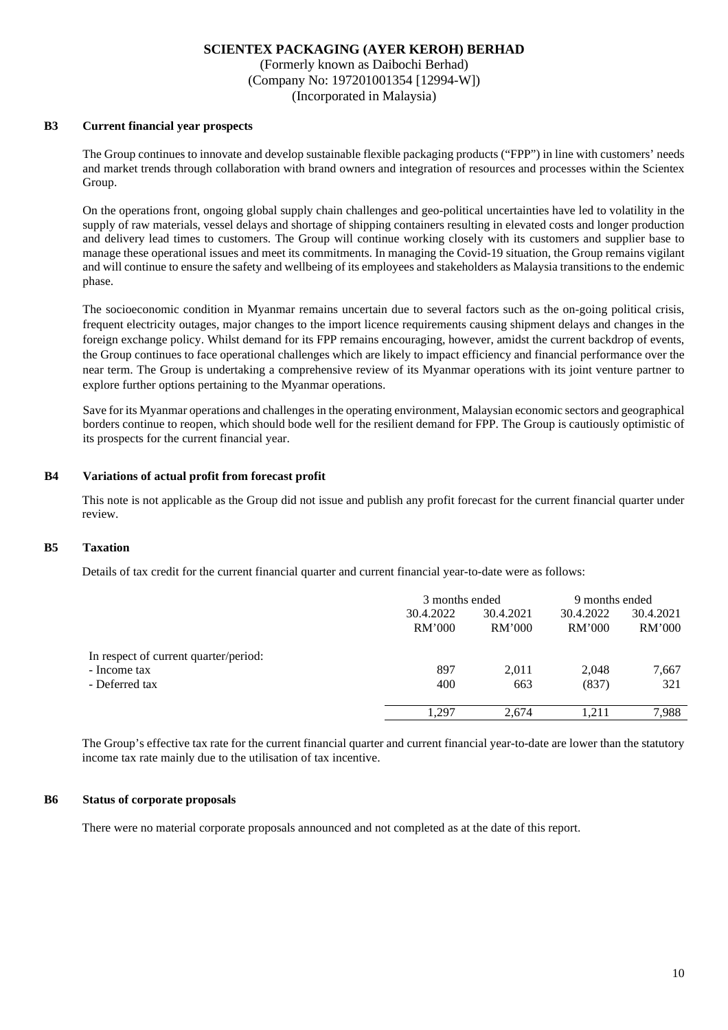(Formerly known as Daibochi Berhad) (Company No: 197201001354 [12994-W]) (Incorporated in Malaysia)

#### **B3 Current financial year prospects**

The Group continues to innovate and develop sustainable flexible packaging products ("FPP") in line with customers' needs and market trends through collaboration with brand owners and integration of resources and processes within the Scientex Group.

On the operations front, ongoing global supply chain challenges and geo-political uncertainties have led to volatility in the supply of raw materials, vessel delays and shortage of shipping containers resulting in elevated costs and longer production and delivery lead times to customers. The Group will continue working closely with its customers and supplier base to manage these operational issues and meet its commitments. In managing the Covid-19 situation, the Group remains vigilant and will continue to ensure the safety and wellbeing of its employees and stakeholders as Malaysia transitions to the endemic phase.

The socioeconomic condition in Myanmar remains uncertain due to several factors such as the on-going political crisis, frequent electricity outages, major changes to the import licence requirements causing shipment delays and changes in the foreign exchange policy. Whilst demand for its FPP remains encouraging, however, amidst the current backdrop of events, the Group continues to face operational challenges which are likely to impact efficiency and financial performance over the near term. The Group is undertaking a comprehensive review of its Myanmar operations with its joint venture partner to explore further options pertaining to the Myanmar operations.

Save for its Myanmar operations and challenges in the operating environment, Malaysian economic sectors and geographical borders continue to reopen, which should bode well for the resilient demand for FPP. The Group is cautiously optimistic of its prospects for the current financial year.

## **B4 Variations of actual profit from forecast profit**

This note is not applicable as the Group did not issue and publish any profit forecast for the current financial quarter under review.

## **B5 Taxation**

Details of tax credit for the current financial quarter and current financial year-to-date were as follows:

|                                       | 3 months ended      |                     | 9 months ended      |                     |
|---------------------------------------|---------------------|---------------------|---------------------|---------------------|
|                                       | 30.4.2022<br>RM'000 | 30.4.2021<br>RM'000 | 30.4.2022<br>RM'000 | 30.4.2021<br>RM'000 |
| In respect of current quarter/period: |                     |                     |                     |                     |
| - Income tax                          | 897                 | 2,011               | 2,048               | 7,667               |
| - Deferred tax                        | 400                 | 663                 | (837)               | 321                 |
|                                       | 1.297               | 2.674               | 1.211               | 7,988               |

The Group's effective tax rate for the current financial quarter and current financial year-to-date are lower than the statutory income tax rate mainly due to the utilisation of tax incentive.

#### **B6 Status of corporate proposals**

There were no material corporate proposals announced and not completed as at the date of this report.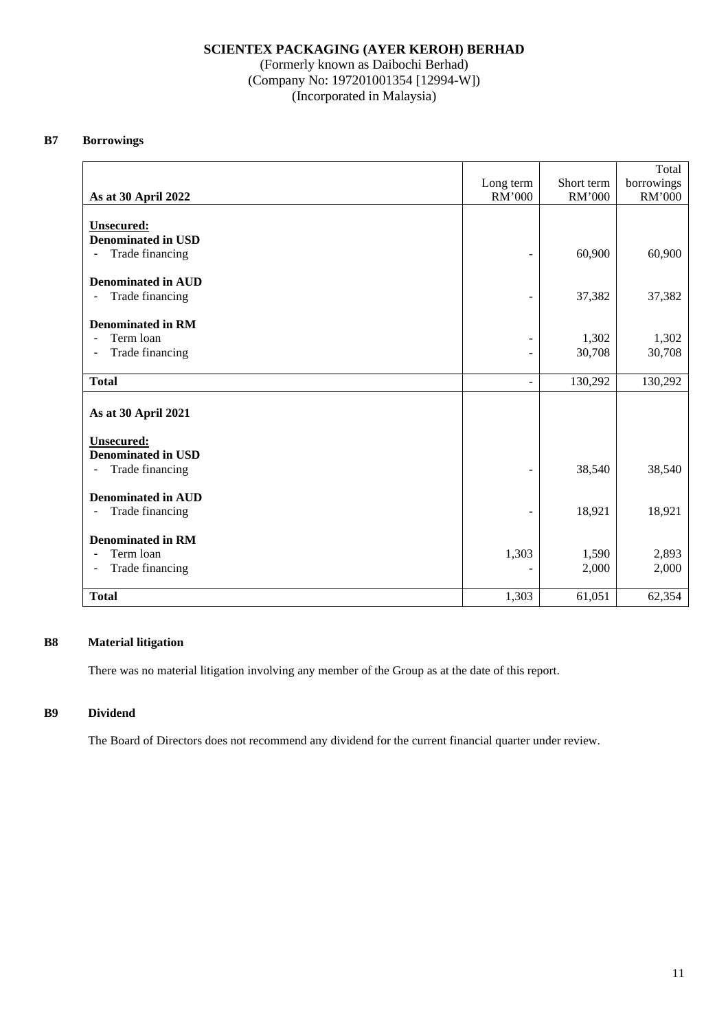(Formerly known as Daibochi Berhad) (Company No: 197201001354 [12994-W]) (Incorporated in Malaysia)

## **B7 Borrowings**

|                                                 |                              |            | Total      |
|-------------------------------------------------|------------------------------|------------|------------|
|                                                 | Long term                    | Short term | borrowings |
| As at 30 April 2022                             | RM'000                       | RM'000     | RM'000     |
|                                                 |                              |            |            |
| <b>Unsecured:</b><br><b>Denominated in USD</b>  |                              |            |            |
| Trade financing<br>$\qquad \qquad \blacksquare$ | $\overline{a}$               | 60,900     | 60,900     |
|                                                 |                              |            |            |
| <b>Denominated in AUD</b>                       |                              |            |            |
| Trade financing<br>$\overline{\phantom{a}}$     | $\qquad \qquad \blacksquare$ | 37,382     | 37,382     |
|                                                 |                              |            |            |
| <b>Denominated in RM</b>                        |                              |            |            |
| Term loan<br>$\blacksquare$                     | -                            | 1,302      | 1,302      |
| Trade financing<br>$\overline{\phantom{a}}$     | $\blacksquare$               | 30,708     | 30,708     |
|                                                 |                              |            |            |
| <b>Total</b>                                    | $\blacksquare$               | 130,292    | 130,292    |
|                                                 |                              |            |            |
| As at 30 April 2021                             |                              |            |            |
| <b>Unsecured:</b>                               |                              |            |            |
| <b>Denominated in USD</b>                       |                              |            |            |
| Trade financing<br>-                            | $\overline{a}$               | 38,540     | 38,540     |
|                                                 |                              |            |            |
| <b>Denominated in AUD</b>                       |                              |            |            |
| Trade financing<br>$\overline{\phantom{a}}$     | $\qquad \qquad \blacksquare$ | 18,921     | 18,921     |
|                                                 |                              |            |            |
| <b>Denominated in RM</b>                        |                              |            |            |
| Term loan<br>$\overline{\phantom{a}}$           | 1,303                        | 1,590      | 2,893      |
| Trade financing<br>$\blacksquare$               |                              | 2,000      | 2,000      |
|                                                 |                              |            |            |
| <b>Total</b>                                    | 1,303                        | 61,051     | 62,354     |

## **B8 Material litigation**

There was no material litigation involving any member of the Group as at the date of this report.

# **B9 Dividend**

The Board of Directors does not recommend any dividend for the current financial quarter under review.